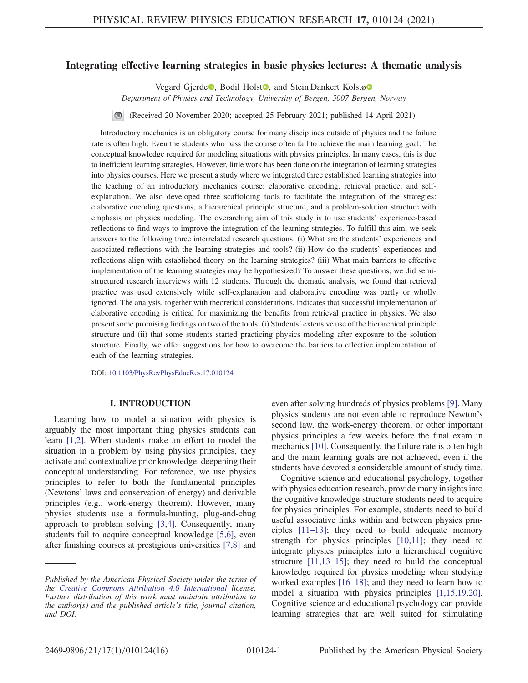# Integrating effective learning strategies in basic physics lectures: A thematic analysis

Vegard Gjerde<sup>o</sup>, Bodil Holst<sup>o</sup>, and Stein Dankert Kolstø<sup>o</sup>

Department of Physics and Technology, University of Bergen, 5007 Bergen, Norway

(Received 20 November 2020; accepted 25 February 2021; published 14 April 2021)  $\odot$ 

Introductory mechanics is an obligatory course for many disciplines outside of physics and the failure rate is often high. Even the students who pass the course often fail to achieve the main learning goal: The conceptual knowledge required for modeling situations with physics principles. In many cases, this is due to inefficient learning strategies. However, little work has been done on the integration of learning strategies into physics courses. Here we present a study where we integrated three established learning strategies into the teaching of an introductory mechanics course: elaborative encoding, retrieval practice, and selfexplanation. We also developed three scaffolding tools to facilitate the integration of the strategies: elaborative encoding questions, a hierarchical principle structure, and a problem-solution structure with emphasis on physics modeling. The overarching aim of this study is to use students' experience-based reflections to find ways to improve the integration of the learning strategies. To fulfill this aim, we seek answers to the following three interrelated research questions: (i) What are the students' experiences and associated reflections with the learning strategies and tools? (ii) How do the students' experiences and reflections align with established theory on the learning strategies? (iii) What main barriers to effective implementation of the learning strategies may be hypothesized? To answer these questions, we did semistructured research interviews with 12 students. Through the thematic analysis, we found that retrieval practice was used extensively while self-explanation and elaborative encoding was partly or wholly ignored. The analysis, together with theoretical considerations, indicates that successful implementation of elaborative encoding is critical for maximizing the benefits from retrieval practice in physics. We also present some promising findings on two of the tools: (i) Students' extensive use of the hierarchical principle structure and (ii) that some students started practicing physics modeling after exposure to the solution structure. Finally, we offer suggestions for how to overcome the barriers to effective implementation of each of the learning strategies.

DOI: [10.1103/PhysRevPhysEducRes.17.010124](https://doi.org/10.1103/PhysRevPhysEducRes.17.010124)

### I. INTRODUCTION

Learning how to model a situation with physics is arguably the most important thing physics students can learn [\[1,2\]](#page-13-0). When students make an effort to model the situation in a problem by using physics principles, they activate and contextualize prior knowledge, deepening their conceptual understanding. For reference, we use physics principles to refer to both the fundamental principles (Newtons' laws and conservation of energy) and derivable principles (e.g., work-energy theorem). However, many physics students use a formula-hunting, plug-and-chug approach to problem solving [\[3,4\].](#page-13-1) Consequently, many students fail to acquire conceptual knowledge [\[5,6\]](#page-13-2), even after finishing courses at prestigious universities [\[7,8\]](#page-13-3) and even after solving hundreds of physics problems [\[9\].](#page-13-4) Many physics students are not even able to reproduce Newton's second law, the work-energy theorem, or other important physics principles a few weeks before the final exam in mechanics [\[10\].](#page-13-5) Consequently, the failure rate is often high and the main learning goals are not achieved, even if the students have devoted a considerable amount of study time.

Cognitive science and educational psychology, together with physics education research, provide many insights into the cognitive knowledge structure students need to acquire for physics principles. For example, students need to build useful associative links within and between physics principles [11–[13\];](#page-13-6) they need to build adequate memory strength for physics principles [\[10,11\];](#page-13-5) they need to integrate physics principles into a hierarchical cognitive structure [\[11,13](#page-13-6)–15]; they need to build the conceptual knowledge required for physics modeling when studying worked examples [\[16](#page-13-7)–18]; and they need to learn how to model a situation with physics principles [\[1,15,19,20\]](#page-13-0). Cognitive science and educational psychology can provide learning strategies that are well suited for stimulating

Published by the American Physical Society under the terms of the [Creative Commons Attribution 4.0 International](https://creativecommons.org/licenses/by/4.0/) license. Further distribution of this work must maintain attribution to the author(s) and the published article's title, journal citation, and DOI.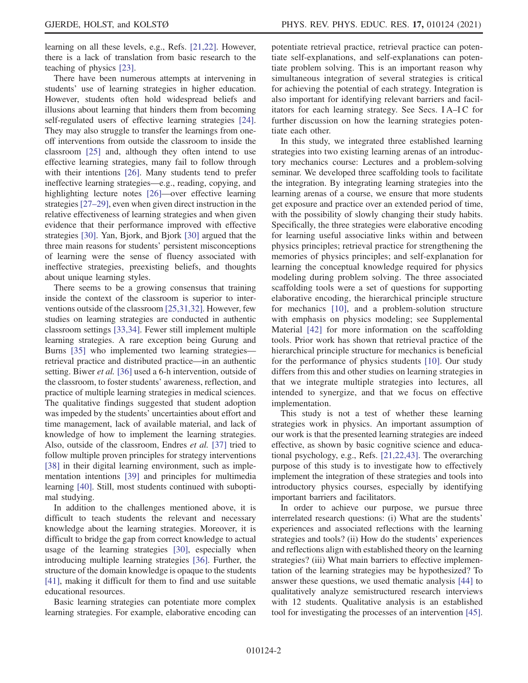learning on all these levels, e.g., Refs. [\[21,22\].](#page-13-8) However, there is a lack of translation from basic research to the teaching of physics [\[23\]](#page-13-9).

There have been numerous attempts at intervening in students' use of learning strategies in higher education. However, students often hold widespread beliefs and illusions about learning that hinders them from becoming self-regulated users of effective learning strategies [\[24\]](#page-13-10). They may also struggle to transfer the learnings from oneoff interventions from outside the classroom to inside the classroom [\[25\]](#page-13-11) and, although they often intend to use effective learning strategies, many fail to follow through with their intentions [\[26\].](#page-13-12) Many students tend to prefer ineffective learning strategies—e.g., reading, copying, and highlighting lecture notes [\[26\]](#page-13-12)—over effective learning strategies [\[27](#page-13-13)–29], even when given direct instruction in the relative effectiveness of learning strategies and when given evidence that their performance improved with effective strategies [\[30\]](#page-13-14). Yan, Bjork, and Bjork [\[30\]](#page-13-14) argued that the three main reasons for students' persistent misconceptions of learning were the sense of fluency associated with ineffective strategies, preexisting beliefs, and thoughts about unique learning styles.

There seems to be a growing consensus that training inside the context of the classroom is superior to interventions outside of the classroom [\[25,31,32\].](#page-13-11) However, few studies on learning strategies are conducted in authentic classroom settings [\[33,34\]](#page-13-15). Fewer still implement multiple learning strategies. A rare exception being Gurung and Burns [\[35\]](#page-13-16) who implemented two learning strategies retrieval practice and distributed practice—in an authentic setting. Biwer et al. [\[36\]](#page-14-0) used a 6-h intervention, outside of the classroom, to foster students' awareness, reflection, and practice of multiple learning strategies in medical sciences. The qualitative findings suggested that student adoption was impeded by the students' uncertainties about effort and time management, lack of available material, and lack of knowledge of how to implement the learning strategies. Also, outside of the classroom, Endres et al. [\[37\]](#page-14-1) tried to follow multiple proven principles for strategy interventions [\[38\]](#page-14-2) in their digital learning environment, such as implementation intentions [\[39\]](#page-14-3) and principles for multimedia learning [\[40\].](#page-14-4) Still, most students continued with suboptimal studying.

In addition to the challenges mentioned above, it is difficult to teach students the relevant and necessary knowledge about the learning strategies. Moreover, it is difficult to bridge the gap from correct knowledge to actual usage of the learning strategies [\[30\]](#page-13-14), especially when introducing multiple learning strategies [\[36\].](#page-14-0) Further, the structure of the domain knowledge is opaque to the students [\[41\]](#page-14-5), making it difficult for them to find and use suitable educational resources.

Basic learning strategies can potentiate more complex learning strategies. For example, elaborative encoding can potentiate retrieval practice, retrieval practice can potentiate self-explanations, and self-explanations can potentiate problem solving. This is an important reason why simultaneous integration of several strategies is critical for achieving the potential of each strategy. Integration is also important for identifying relevant barriers and facilitators for each learning strategy. See Secs. I A–I C for further discussion on how the learning strategies potentiate each other.

In this study, we integrated three established learning strategies into two existing learning arenas of an introductory mechanics course: Lectures and a problem-solving seminar. We developed three scaffolding tools to facilitate the integration. By integrating learning strategies into the learning arenas of a course, we ensure that more students get exposure and practice over an extended period of time, with the possibility of slowly changing their study habits. Specifically, the three strategies were elaborative encoding for learning useful associative links within and between physics principles; retrieval practice for strengthening the memories of physics principles; and self-explanation for learning the conceptual knowledge required for physics modeling during problem solving. The three associated scaffolding tools were a set of questions for supporting elaborative encoding, the hierarchical principle structure for mechanics [\[10\]](#page-13-5), and a problem-solution structure with emphasis on physics modeling; see Supplemental Material [\[42\]](#page-14-6) for more information on the scaffolding tools. Prior work has shown that retrieval practice of the hierarchical principle structure for mechanics is beneficial for the performance of physics students [\[10\]](#page-13-5). Our study differs from this and other studies on learning strategies in that we integrate multiple strategies into lectures, all intended to synergize, and that we focus on effective implementation.

This study is not a test of whether these learning strategies work in physics. An important assumption of our work is that the presented learning strategies are indeed effective, as shown by basic cognitive science and educational psychology, e.g., Refs. [\[21,22,43\]](#page-13-8). The overarching purpose of this study is to investigate how to effectively implement the integration of these strategies and tools into introductory physics courses, especially by identifying important barriers and facilitators.

In order to achieve our purpose, we pursue three interrelated research questions: (i) What are the students' experiences and associated reflections with the learning strategies and tools? (ii) How do the students' experiences and reflections align with established theory on the learning strategies? (iii) What main barriers to effective implementation of the learning strategies may be hypothesized? To answer these questions, we used thematic analysis [\[44\]](#page-14-7) to qualitatively analyze semistructured research interviews with 12 students. Qualitative analysis is an established tool for investigating the processes of an intervention [\[45\]](#page-14-8).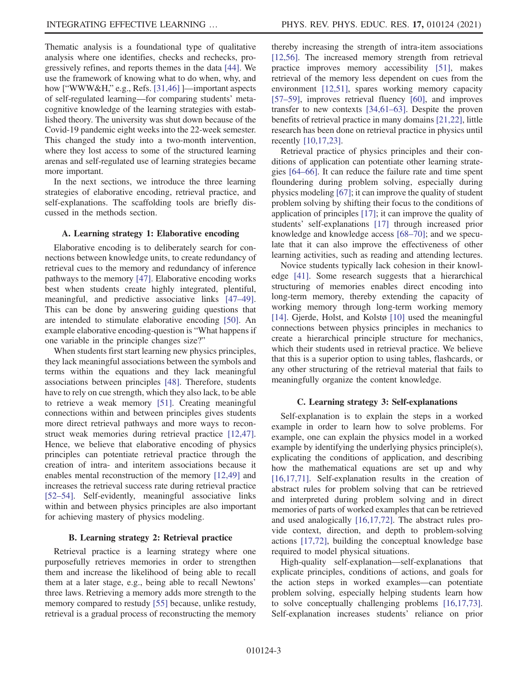Thematic analysis is a foundational type of qualitative analysis where one identifies, checks and rechecks, progressively refines, and reports themes in the data [\[44\].](#page-14-7) We use the framework of knowing what to do when, why, and how ["WWW&H," e.g., Refs. [\[31,46\]](#page-13-17) ]—important aspects of self-regulated learning—for comparing students' metacognitive knowledge of the learning strategies with established theory. The university was shut down because of the Covid-19 pandemic eight weeks into the 22-week semester. This changed the study into a two-month intervention, where they lost access to some of the structured learning arenas and self-regulated use of learning strategies became more important.

In the next sections, we introduce the three learning strategies of elaborative encoding, retrieval practice, and self-explanations. The scaffolding tools are briefly discussed in the methods section.

### A. Learning strategy 1: Elaborative encoding

Elaborative encoding is to deliberately search for connections between knowledge units, to create redundancy of retrieval cues to the memory and redundancy of inference pathways to the memory [\[47\]](#page-14-9). Elaborative encoding works best when students create highly integrated, plentiful, meaningful, and predictive associative links [\[47](#page-14-9)–49]. This can be done by answering guiding questions that are intended to stimulate elaborative encoding [\[50\].](#page-14-10) An example elaborative encoding-question is "What happens if one variable in the principle changes size?"

When students first start learning new physics principles, they lack meaningful associations between the symbols and terms within the equations and they lack meaningful associations between principles [\[48\]](#page-14-11). Therefore, students have to rely on cue strength, which they also lack, to be able to retrieve a weak memory [\[51\]](#page-14-12). Creating meaningful connections within and between principles gives students more direct retrieval pathways and more ways to reconstruct weak memories during retrieval practice [\[12,47\]](#page-13-18). Hence, we believe that elaborative encoding of physics principles can potentiate retrieval practice through the creation of intra- and interitem associations because it enables mental reconstruction of the memory [\[12,49\]](#page-13-18) and increases the retrieval success rate during retrieval practice [\[52](#page-14-13)–54]. Self-evidently, meaningful associative links within and between physics principles are also important for achieving mastery of physics modeling.

### B. Learning strategy 2: Retrieval practice

Retrieval practice is a learning strategy where one purposefully retrieves memories in order to strengthen them and increase the likelihood of being able to recall them at a later stage, e.g., being able to recall Newtons' three laws. Retrieving a memory adds more strength to the memory compared to restudy [\[55\]](#page-14-14) because, unlike restudy, retrieval is a gradual process of reconstructing the memory thereby increasing the strength of intra-item associations [\[12,56\]](#page-13-18). The increased memory strength from retrieval practice improves memory accessibility [\[51\]](#page-14-12), makes retrieval of the memory less dependent on cues from the environment [\[12,51\],](#page-13-18) spares working memory capacity [\[57](#page-14-15)–59], improves retrieval fluency [\[60\],](#page-14-16) and improves transfer to new contexts [\[34,61](#page-13-19)–63]. Despite the proven benefits of retrieval practice in many domains [\[21,22\]](#page-13-8), little research has been done on retrieval practice in physics until recently [\[10,17,23\]](#page-13-5).

Retrieval practice of physics principles and their conditions of application can potentiate other learning strategies [\[64](#page-14-17)–66]. It can reduce the failure rate and time spent floundering during problem solving, especially during physics modeling [\[67\]](#page-14-18); it can improve the quality of student problem solving by shifting their focus to the conditions of application of principles [\[17\]](#page-13-20); it can improve the quality of students' self-explanations [\[17\]](#page-13-20) through increased prior knowledge and knowledge access [\[68](#page-14-19)–70]; and we speculate that it can also improve the effectiveness of other learning activities, such as reading and attending lectures.

Novice students typically lack cohesion in their knowledge [\[41\]](#page-14-5). Some research suggests that a hierarchical structuring of memories enables direct encoding into long-term memory, thereby extending the capacity of working memory through long-term working memory [\[14\]](#page-13-21). Gjerde, Holst, and Kolstø [\[10\]](#page-13-5) used the meaningful connections between physics principles in mechanics to create a hierarchical principle structure for mechanics, which their students used in retrieval practice. We believe that this is a superior option to using tables, flashcards, or any other structuring of the retrieval material that fails to meaningfully organize the content knowledge.

#### C. Learning strategy 3: Self-explanations

Self-explanation is to explain the steps in a worked example in order to learn how to solve problems. For example, one can explain the physics model in a worked example by identifying the underlying physics principle(s), explicating the conditions of application, and describing how the mathematical equations are set up and why [\[16,17,71\]](#page-13-7). Self-explanation results in the creation of abstract rules for problem solving that can be retrieved and interpreted during problem solving and in direct memories of parts of worked examples that can be retrieved and used analogically [\[16,17,72\].](#page-13-7) The abstract rules provide context, direction, and depth to problem-solving actions [\[17,72\]](#page-13-20), building the conceptual knowledge base required to model physical situations.

High-quality self-explanation—self-explanations that explicate principles, conditions of actions, and goals for the action steps in worked examples—can potentiate problem solving, especially helping students learn how to solve conceptually challenging problems [\[16,17,73\]](#page-13-7). Self-explanation increases students' reliance on prior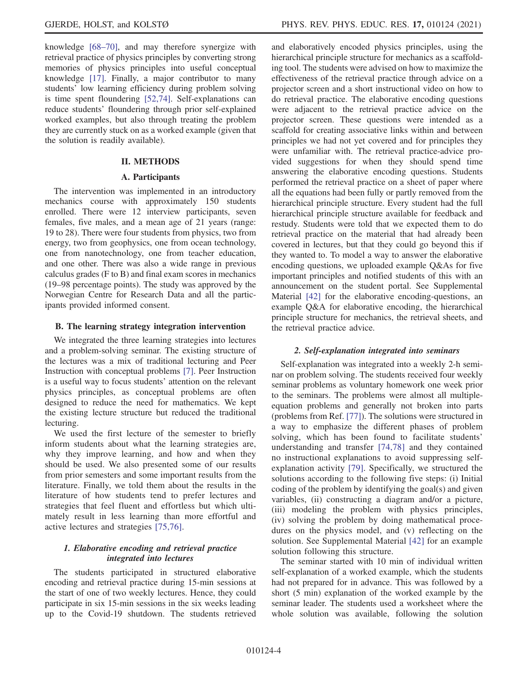knowledge [\[68](#page-14-19)–70], and may therefore synergize with retrieval practice of physics principles by converting strong memories of physics principles into useful conceptual knowledge [\[17\].](#page-13-20) Finally, a major contributor to many students' low learning efficiency during problem solving is time spent floundering [\[52,74\].](#page-14-13) Self-explanations can reduce students' floundering through prior self-explained worked examples, but also through treating the problem they are currently stuck on as a worked example (given that the solution is readily available).

#### II. METHODS

#### A. Participants

The intervention was implemented in an introductory mechanics course with approximately 150 students enrolled. There were 12 interview participants, seven females, five males, and a mean age of 21 years (range: 19 to 28). There were four students from physics, two from energy, two from geophysics, one from ocean technology, one from nanotechnology, one from teacher education, and one other. There was also a wide range in previous calculus grades (F to B) and final exam scores in mechanics (19–98 percentage points). The study was approved by the Norwegian Centre for Research Data and all the participants provided informed consent.

### B. The learning strategy integration intervention

We integrated the three learning strategies into lectures and a problem-solving seminar. The existing structure of the lectures was a mix of traditional lecturing and Peer Instruction with conceptual problems [\[7\]](#page-13-3). Peer Instruction is a useful way to focus students' attention on the relevant physics principles, as conceptual problems are often designed to reduce the need for mathematics. We kept the existing lecture structure but reduced the traditional lecturing.

We used the first lecture of the semester to briefly inform students about what the learning strategies are, why they improve learning, and how and when they should be used. We also presented some of our results from prior semesters and some important results from the literature. Finally, we told them about the results in the literature of how students tend to prefer lectures and strategies that feel fluent and effortless but which ultimately result in less learning than more effortful and active lectures and strategies [\[75,76\].](#page-15-0)

# 1. Elaborative encoding and retrieval practice integrated into lectures

The students participated in structured elaborative encoding and retrieval practice during 15-min sessions at the start of one of two weekly lectures. Hence, they could participate in six 15-min sessions in the six weeks leading up to the Covid-19 shutdown. The students retrieved and elaboratively encoded physics principles, using the hierarchical principle structure for mechanics as a scaffolding tool. The students were advised on how to maximize the effectiveness of the retrieval practice through advice on a projector screen and a short instructional video on how to do retrieval practice. The elaborative encoding questions were adjacent to the retrieval practice advice on the projector screen. These questions were intended as a scaffold for creating associative links within and between principles we had not yet covered and for principles they were unfamiliar with. The retrieval practice-advice provided suggestions for when they should spend time answering the elaborative encoding questions. Students performed the retrieval practice on a sheet of paper where all the equations had been fully or partly removed from the hierarchical principle structure. Every student had the full hierarchical principle structure available for feedback and restudy. Students were told that we expected them to do retrieval practice on the material that had already been covered in lectures, but that they could go beyond this if they wanted to. To model a way to answer the elaborative encoding questions, we uploaded example Q&As for five important principles and notified students of this with an announcement on the student portal. See Supplemental Material [\[42\]](#page-14-6) for the elaborative encoding-questions, an example Q&A for elaborative encoding, the hierarchical principle structure for mechanics, the retrieval sheets, and the retrieval practice advice.

### 2. Self-explanation integrated into seminars

Self-explanation was integrated into a weekly 2-h seminar on problem solving. The students received four weekly seminar problems as voluntary homework one week prior to the seminars. The problems were almost all multipleequation problems and generally not broken into parts (problems from Ref. [\[77\]](#page-15-1)). The solutions were structured in a way to emphasize the different phases of problem solving, which has been found to facilitate students' understanding and transfer [\[74,78\]](#page-14-20) and they contained no instructional explanations to avoid suppressing selfexplanation activity [\[79\].](#page-15-2) Specifically, we structured the solutions according to the following five steps: (i) Initial coding of the problem by identifying the goal(s) and given variables, (ii) constructing a diagram and/or a picture, (iii) modeling the problem with physics principles, (iv) solving the problem by doing mathematical procedures on the physics model, and (v) reflecting on the solution. See Supplemental Material [\[42\]](#page-14-6) for an example solution following this structure.

The seminar started with 10 min of individual written self-explanation of a worked example, which the students had not prepared for in advance. This was followed by a short (5 min) explanation of the worked example by the seminar leader. The students used a worksheet where the whole solution was available, following the solution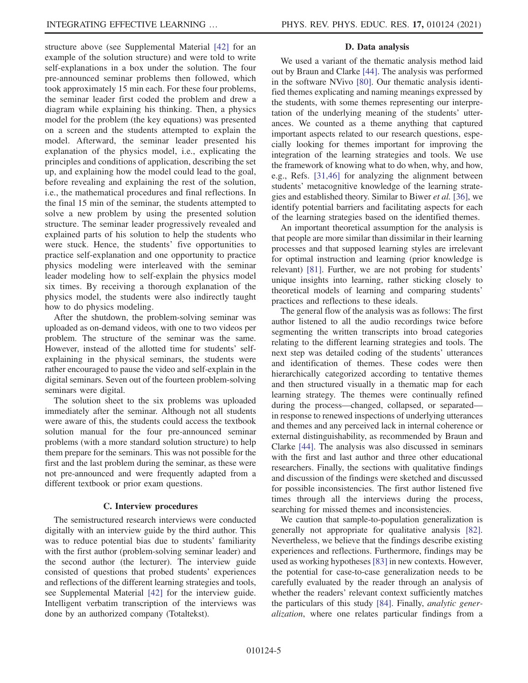structure above (see Supplemental Material [\[42\]](#page-14-6) for an example of the solution structure) and were told to write self-explanations in a box under the solution. The four pre-announced seminar problems then followed, which took approximately 15 min each. For these four problems, the seminar leader first coded the problem and drew a diagram while explaining his thinking. Then, a physics model for the problem (the key equations) was presented on a screen and the students attempted to explain the model. Afterward, the seminar leader presented his explanation of the physics model, i.e., explicating the principles and conditions of application, describing the set up, and explaining how the model could lead to the goal, before revealing and explaining the rest of the solution, i.e., the mathematical procedures and final reflections. In the final 15 min of the seminar, the students attempted to solve a new problem by using the presented solution structure. The seminar leader progressively revealed and explained parts of his solution to help the students who were stuck. Hence, the students' five opportunities to practice self-explanation and one opportunity to practice physics modeling were interleaved with the seminar leader modeling how to self-explain the physics model six times. By receiving a thorough explanation of the physics model, the students were also indirectly taught how to do physics modeling.

After the shutdown, the problem-solving seminar was uploaded as on-demand videos, with one to two videos per problem. The structure of the seminar was the same. However, instead of the allotted time for students' selfexplaining in the physical seminars, the students were rather encouraged to pause the video and self-explain in the digital seminars. Seven out of the fourteen problem-solving seminars were digital.

The solution sheet to the six problems was uploaded immediately after the seminar. Although not all students were aware of this, the students could access the textbook solution manual for the four pre-announced seminar problems (with a more standard solution structure) to help them prepare for the seminars. This was not possible for the first and the last problem during the seminar, as these were not pre-announced and were frequently adapted from a different textbook or prior exam questions.

#### C. Interview procedures

The semistructured research interviews were conducted digitally with an interview guide by the third author. This was to reduce potential bias due to students' familiarity with the first author (problem-solving seminar leader) and the second author (the lecturer). The interview guide consisted of questions that probed students' experiences and reflections of the different learning strategies and tools, see Supplemental Material [\[42\]](#page-14-6) for the interview guide. Intelligent verbatim transcription of the interviews was done by an authorized company (Totaltekst).

#### D. Data analysis

We used a variant of the thematic analysis method laid out by Braun and Clarke [\[44\].](#page-14-7) The analysis was performed in the software NVivo [\[80\].](#page-15-3) Our thematic analysis identified themes explicating and naming meanings expressed by the students, with some themes representing our interpretation of the underlying meaning of the students' utterances. We counted as a theme anything that captured important aspects related to our research questions, especially looking for themes important for improving the integration of the learning strategies and tools. We use the framework of knowing what to do when, why, and how, e.g., Refs. [\[31,46\]](#page-13-17) for analyzing the alignment between students' metacognitive knowledge of the learning strategies and established theory. Similar to Biwer et al. [\[36\],](#page-14-0) we identify potential barriers and facilitating aspects for each of the learning strategies based on the identified themes.

An important theoretical assumption for the analysis is that people are more similar than dissimilar in their learning processes and that supposed learning styles are irrelevant for optimal instruction and learning (prior knowledge is relevant) [\[81\]](#page-15-4). Further, we are not probing for students' unique insights into learning, rather sticking closely to theoretical models of learning and comparing students' practices and reflections to these ideals.

The general flow of the analysis was as follows: The first author listened to all the audio recordings twice before segmenting the written transcripts into broad categories relating to the different learning strategies and tools. The next step was detailed coding of the students' utterances and identification of themes. These codes were then hierarchically categorized according to tentative themes and then structured visually in a thematic map for each learning strategy. The themes were continually refined during the process—changed, collapsed, or separated in response to renewed inspections of underlying utterances and themes and any perceived lack in internal coherence or external distinguishability, as recommended by Braun and Clarke [\[44\].](#page-14-7) The analysis was also discussed in seminars with the first and last author and three other educational researchers. Finally, the sections with qualitative findings and discussion of the findings were sketched and discussed for possible inconsistencies. The first author listened five times through all the interviews during the process, searching for missed themes and inconsistencies.

We caution that sample-to-population generalization is generally not appropriate for qualitative analysis [\[82\]](#page-15-5). Nevertheless, we believe that the findings describe existing experiences and reflections. Furthermore, findings may be used as working hypotheses[\[83\]](#page-15-6) in new contexts. However, the potential for case-to-case generalization needs to be carefully evaluated by the reader through an analysis of whether the readers' relevant context sufficiently matches the particulars of this study [\[84\].](#page-15-7) Finally, analytic generalization, where one relates particular findings from a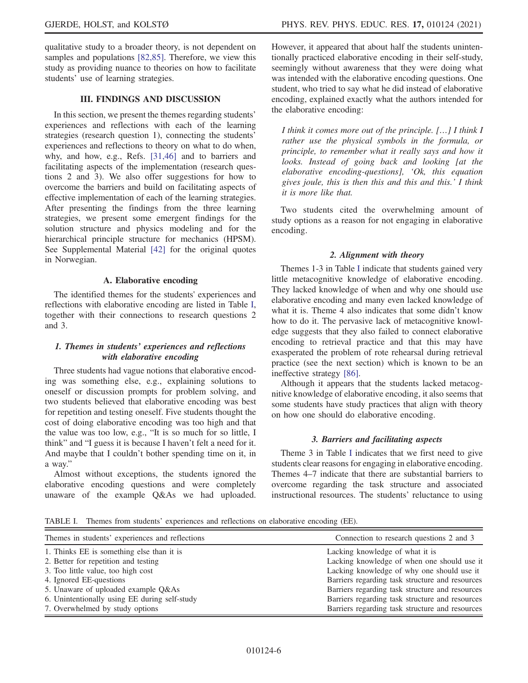qualitative study to a broader theory, is not dependent on samples and populations [\[82,85\]](#page-15-5). Therefore, we view this study as providing nuance to theories on how to facilitate students' use of learning strategies.

# III. FINDINGS AND DISCUSSION

In this section, we present the themes regarding students' experiences and reflections with each of the learning strategies (research question 1), connecting the students' experiences and reflections to theory on what to do when, why, and how, e.g., Refs. [\[31,46\]](#page-13-17) and to barriers and facilitating aspects of the implementation (research questions 2 and 3). We also offer suggestions for how to overcome the barriers and build on facilitating aspects of effective implementation of each of the learning strategies. After presenting the findings from the three learning strategies, we present some emergent findings for the solution structure and physics modeling and for the hierarchical principle structure for mechanics (HPSM). See Supplemental Material [\[42\]](#page-14-6) for the original quotes in Norwegian.

### A. Elaborative encoding

<span id="page-5-1"></span>The identified themes for the students' experiences and reflections with elaborative encoding are listed in Table [I](#page-5-0), together with their connections to research questions 2 and 3.

# 1. Themes in students' experiences and reflections with elaborative encoding

Three students had vague notions that elaborative encoding was something else, e.g., explaining solutions to oneself or discussion prompts for problem solving, and two students believed that elaborative encoding was best for repetition and testing oneself. Five students thought the cost of doing elaborative encoding was too high and that the value was too low, e.g., "It is so much for so little, I think" and "I guess it is because I haven't felt a need for it. And maybe that I couldn't bother spending time on it, in a way."

Almost without exceptions, the students ignored the elaborative encoding questions and were completely unaware of the example Q&As we had uploaded.

However, it appeared that about half the students unintentionally practiced elaborative encoding in their self-study, seemingly without awareness that they were doing what was intended with the elaborative encoding questions. One student, who tried to say what he did instead of elaborative encoding, explained exactly what the authors intended for the elaborative encoding:

I think it comes more out of the principle. […] I think I rather use the physical symbols in the formula, or principle, to remember what it really says and how it looks. Instead of going back and looking [at the elaborative encoding-questions], 'Ok, this equation gives joule, this is then this and this and this.' I think it is more like that.

Two students cited the overwhelming amount of study options as a reason for not engaging in elaborative encoding.

# 2. Alignment with theory

Themes 1-3 in Table [I](#page-5-0) indicate that students gained very little metacognitive knowledge of elaborative encoding. They lacked knowledge of when and why one should use elaborative encoding and many even lacked knowledge of what it is. Theme 4 also indicates that some didn't know how to do it. The pervasive lack of metacognitive knowledge suggests that they also failed to connect elaborative encoding to retrieval practice and that this may have exasperated the problem of rote rehearsal during retrieval practice (see the next section) which is known to be an ineffective strategy [\[86\].](#page-15-8)

Although it appears that the students lacked metacognitive knowledge of elaborative encoding, it also seems that some students have study practices that align with theory on how one should do elaborative encoding.

# 3. Barriers and facilitating aspects

Theme 3 in Table [I](#page-5-0) indicates that we first need to give students clear reasons for engaging in elaborative encoding. Themes 4–7 indicate that there are substantial barriers to overcome regarding the task structure and associated instructional resources. The students' reluctance to using

<span id="page-5-0"></span>TABLE I. Themes from students' experiences and reflections on elaborative encoding (EE).

| Themes in students' experiences and reflections | Connection to research questions 2 and 3        |
|-------------------------------------------------|-------------------------------------------------|
| 1. Thinks EE is something else than it is       | Lacking knowledge of what it is                 |
| 2. Better for repetition and testing            | Lacking knowledge of when one should use it     |
| 3. Too little value, too high cost              | Lacking knowledge of why one should use it      |
| 4. Ignored EE-questions                         | Barriers regarding task structure and resources |
| 5. Unaware of uploaded example Q&As             | Barriers regarding task structure and resources |
| 6. Unintentionally using EE during self-study   | Barriers regarding task structure and resources |
| 7. Overwhelmed by study options                 | Barriers regarding task structure and resources |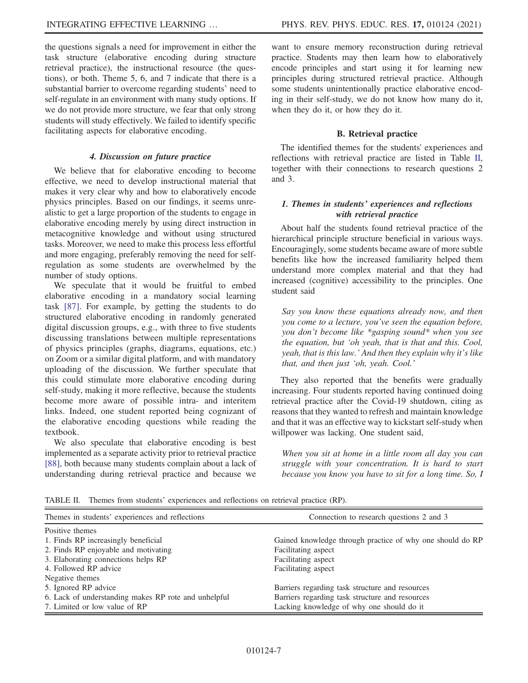the questions signals a need for improvement in either the task structure (elaborative encoding during structure retrieval practice), the instructional resource (the questions), or both. Theme 5, 6, and 7 indicate that there is a substantial barrier to overcome regarding students' need to self-regulate in an environment with many study options. If we do not provide more structure, we fear that only strong students will study effectively. We failed to identify specific facilitating aspects for elaborative encoding.

## 4. Discussion on future practice

We believe that for elaborative encoding to become effective, we need to develop instructional material that makes it very clear why and how to elaboratively encode physics principles. Based on our findings, it seems unrealistic to get a large proportion of the students to engage in elaborative encoding merely by using direct instruction in metacognitive knowledge and without using structured tasks. Moreover, we need to make this process less effortful and more engaging, preferably removing the need for selfregulation as some students are overwhelmed by the number of study options.

We speculate that it would be fruitful to embed elaborative encoding in a mandatory social learning task [\[87\]](#page-15-9). For example, by getting the students to do structured elaborative encoding in randomly generated digital discussion groups, e.g., with three to five students discussing translations between multiple representations of physics principles (graphs, diagrams, equations, etc.) on Zoom or a similar digital platform, and with mandatory uploading of the discussion. We further speculate that this could stimulate more elaborative encoding during self-study, making it more reflective, because the students become more aware of possible intra- and interitem links. Indeed, one student reported being cognizant of the elaborative encoding questions while reading the textbook.

We also speculate that elaborative encoding is best implemented as a separate activity prior to retrieval practice [\[88\]](#page-15-10), both because many students complain about a lack of understanding during retrieval practice and because we

want to ensure memory reconstruction during retrieval practice. Students may then learn how to elaboratively encode principles and start using it for learning new principles during structured retrieval practice. Although some students unintentionally practice elaborative encoding in their self-study, we do not know how many do it, when they do it, or how they do it.

# B. Retrieval practice

The identified themes for the students' experiences and reflections with retrieval practice are listed in Table [II](#page-5-0), together with their connections to research questions 2 and 3.

# 1. Themes in students' experiences and reflections with retrieval practice

About half the students found retrieval practice of the hierarchical principle structure beneficial in various ways. Encouragingly, some students became aware of more subtle benefits like how the increased familiarity helped them understand more complex material and that they had increased (cognitive) accessibility to the principles. One student said

Say you know these equations already now, and then you come to a lecture, you've seen the equation before, you don't become like \*gasping sound\* when you see the equation, but 'oh yeah, that is that and this. Cool, yeah, that is this law.' And then they explain why it's like that, and then just 'oh, yeah. Cool.'

They also reported that the benefits were gradually increasing. Four students reported having continued doing retrieval practice after the Covid-19 shutdown, citing as reasons that they wanted to refresh and maintain knowledge and that it was an effective way to kickstart self-study when willpower was lacking. One student said,

When you sit at home in a little room all day you can struggle with your concentration. It is hard to start because you know you have to sit for a long time. So, I

TABLE II. Themes from students' experiences and reflections on retrieval practice (RP).

| Themes in students' experiences and reflections      | Connection to research questions 2 and 3                  |
|------------------------------------------------------|-----------------------------------------------------------|
| Positive themes                                      |                                                           |
| 1. Finds RP increasingly beneficial                  | Gained knowledge through practice of why one should do RP |
| 2. Finds RP enjoyable and motivating                 | Facilitating aspect                                       |
| 3. Elaborating connections helps RP                  | Facilitating aspect                                       |
| 4. Followed RP advice                                | Facilitating aspect                                       |
| Negative themes                                      |                                                           |
| 5. Ignored RP advice                                 | Barriers regarding task structure and resources           |
| 6. Lack of understanding makes RP rote and unhelpful | Barriers regarding task structure and resources           |
| 7. Limited or low value of RP                        | Lacking knowledge of why one should do it                 |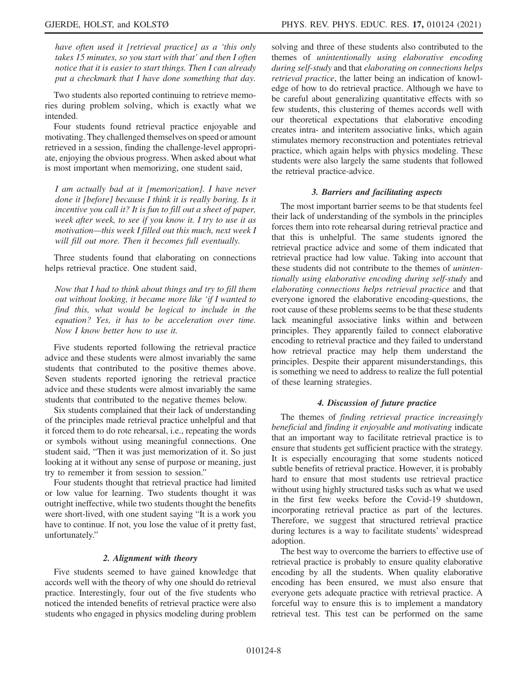have often used it [retrieval practice] as a 'this only takes 15 minutes, so you start with that' and then I often notice that it is easier to start things. Then I can already put a checkmark that I have done something that day.

Two students also reported continuing to retrieve memories during problem solving, which is exactly what we intended.

Four students found retrieval practice enjoyable and motivating. They challenged themselves on speed or amount retrieved in a session, finding the challenge-level appropriate, enjoying the obvious progress. When asked about what is most important when memorizing, one student said,

I am actually bad at it [memorization]. I have never done it [before] because I think it is really boring. Is it incentive you call it? It is fun to fill out a sheet of paper, week after week, to see if you know it. I try to use it as motivation—this week I filled out this much, next week I will fill out more. Then it becomes full eventually.

Three students found that elaborating on connections helps retrieval practice. One student said,

Now that I had to think about things and try to fill them out without looking, it became more like 'if I wanted to find this, what would be logical to include in the equation? Yes, it has to be acceleration over time. Now I know better how to use it.

Five students reported following the retrieval practice advice and these students were almost invariably the same students that contributed to the positive themes above. Seven students reported ignoring the retrieval practice advice and these students were almost invariably the same students that contributed to the negative themes below.

Six students complained that their lack of understanding of the principles made retrieval practice unhelpful and that it forced them to do rote rehearsal, i.e., repeating the words or symbols without using meaningful connections. One student said, "Then it was just memorization of it. So just looking at it without any sense of purpose or meaning, just try to remember it from session to session."

Four students thought that retrieval practice had limited or low value for learning. Two students thought it was outright ineffective, while two students thought the benefits were short-lived, with one student saying "It is a work you have to continue. If not, you lose the value of it pretty fast, unfortunately."

### 2. Alignment with theory

Five students seemed to have gained knowledge that accords well with the theory of why one should do retrieval practice. Interestingly, four out of the five students who noticed the intended benefits of retrieval practice were also students who engaged in physics modeling during problem solving and three of these students also contributed to the themes of unintentionally using elaborative encoding during self-study and that elaborating on connections helps retrieval practice, the latter being an indication of knowledge of how to do retrieval practice. Although we have to be careful about generalizing quantitative effects with so few students, this clustering of themes accords well with our theoretical expectations that elaborative encoding creates intra- and interitem associative links, which again stimulates memory reconstruction and potentiates retrieval practice, which again helps with physics modeling. These students were also largely the same students that followed the retrieval practice-advice.

### 3. Barriers and facilitating aspects

The most important barrier seems to be that students feel their lack of understanding of the symbols in the principles forces them into rote rehearsal during retrieval practice and that this is unhelpful. The same students ignored the retrieval practice advice and some of them indicated that retrieval practice had low value. Taking into account that these students did not contribute to the themes of unintentionally using elaborative encoding during self-study and elaborating connections helps retrieval practice and that everyone ignored the elaborative encoding-questions, the root cause of these problems seems to be that these students lack meaningful associative links within and between principles. They apparently failed to connect elaborative encoding to retrieval practice and they failed to understand how retrieval practice may help them understand the principles. Despite their apparent misunderstandings, this is something we need to address to realize the full potential of these learning strategies.

### 4. Discussion of future practice

The themes of finding retrieval practice increasingly beneficial and finding it enjoyable and motivating indicate that an important way to facilitate retrieval practice is to ensure that students get sufficient practice with the strategy. It is especially encouraging that some students noticed subtle benefits of retrieval practice. However, it is probably hard to ensure that most students use retrieval practice without using highly structured tasks such as what we used in the first few weeks before the Covid-19 shutdown, incorporating retrieval practice as part of the lectures. Therefore, we suggest that structured retrieval practice during lectures is a way to facilitate students' widespread adoption.

The best way to overcome the barriers to effective use of retrieval practice is probably to ensure quality elaborative encoding by all the students. When quality elaborative encoding has been ensured, we must also ensure that everyone gets adequate practice with retrieval practice. A forceful way to ensure this is to implement a mandatory retrieval test. This test can be performed on the same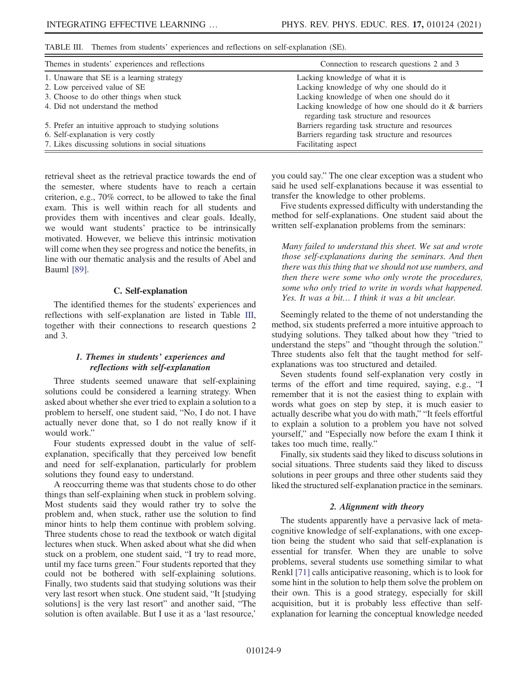<span id="page-8-0"></span>TABLE III. Themes from students' experiences and reflections on self-explanation (SE).

| Themes in students' experiences and reflections       | Connection to research questions 2 and 3                                                       |
|-------------------------------------------------------|------------------------------------------------------------------------------------------------|
| 1. Unaware that SE is a learning strategy             | Lacking knowledge of what it is                                                                |
| 2. Low perceived value of SE                          | Lacking knowledge of why one should do it                                                      |
| 3. Choose to do other things when stuck               | Lacking knowledge of when one should do it                                                     |
| 4. Did not understand the method                      | Lacking knowledge of how one should do it & barriers<br>regarding task structure and resources |
| 5. Prefer an intuitive approach to studying solutions | Barriers regarding task structure and resources                                                |
| 6. Self-explanation is very costly                    | Barriers regarding task structure and resources                                                |
| 7. Likes discussing solutions in social situations    | Facilitating aspect                                                                            |

retrieval sheet as the retrieval practice towards the end of the semester, where students have to reach a certain criterion, e.g., 70% correct, to be allowed to take the final exam. This is well within reach for all students and provides them with incentives and clear goals. Ideally, we would want students' practice to be intrinsically motivated. However, we believe this intrinsic motivation will come when they see progress and notice the benefits, in line with our thematic analysis and the results of Abel and Bauml [\[89\].](#page-15-11)

### C. Self-explanation

<span id="page-8-1"></span>The identified themes for the students' experiences and reflections with self-explanation are listed in Table [III](#page-8-0), together with their connections to research questions 2 and 3.

## 1. Themes in students' experiences and reflections with self-explanation

Three students seemed unaware that self-explaining solutions could be considered a learning strategy. When asked about whether she ever tried to explain a solution to a problem to herself, one student said, "No, I do not. I have actually never done that, so I do not really know if it would work."

Four students expressed doubt in the value of selfexplanation, specifically that they perceived low benefit and need for self-explanation, particularly for problem solutions they found easy to understand.

A reoccurring theme was that students chose to do other things than self-explaining when stuck in problem solving. Most students said they would rather try to solve the problem and, when stuck, rather use the solution to find minor hints to help them continue with problem solving. Three students chose to read the textbook or watch digital lectures when stuck. When asked about what she did when stuck on a problem, one student said, "I try to read more, until my face turns green." Four students reported that they could not be bothered with self-explaining solutions. Finally, two students said that studying solutions was their very last resort when stuck. One student said, "It [studying solutions] is the very last resort" and another said, "The solution is often available. But I use it as a 'last resource,'

you could say." The one clear exception was a student who said he used self-explanations because it was essential to transfer the knowledge to other problems.

Five students expressed difficulty with understanding the method for self-explanations. One student said about the written self-explanation problems from the seminars:

Many failed to understand this sheet. We sat and wrote those self-explanations during the seminars. And then there was this thing that we should not use numbers, and then there were some who only wrote the procedures, some who only tried to write in words what happened. Yes. It was a bit… I think it was a bit unclear.

Seemingly related to the theme of not understanding the method, six students preferred a more intuitive approach to studying solutions. They talked about how they "tried to understand the steps" and "thought through the solution." Three students also felt that the taught method for selfexplanations was too structured and detailed.

Seven students found self-explanation very costly in terms of the effort and time required, saying, e.g., "I remember that it is not the easiest thing to explain with words what goes on step by step, it is much easier to actually describe what you do with math," "It feels effortful to explain a solution to a problem you have not solved yourself," and "Especially now before the exam I think it takes too much time, really."

Finally, six students said they liked to discuss solutions in social situations. Three students said they liked to discuss solutions in peer groups and three other students said they liked the structured self-explanation practice in the seminars.

### 2. Alignment with theory

The students apparently have a pervasive lack of metacognitive knowledge of self-explanations, with one exception being the student who said that self-explanation is essential for transfer. When they are unable to solve problems, several students use something similar to what Renkl [\[71\]](#page-14-21) calls anticipative reasoning, which is to look for some hint in the solution to help them solve the problem on their own. This is a good strategy, especially for skill acquisition, but it is probably less effective than selfexplanation for learning the conceptual knowledge needed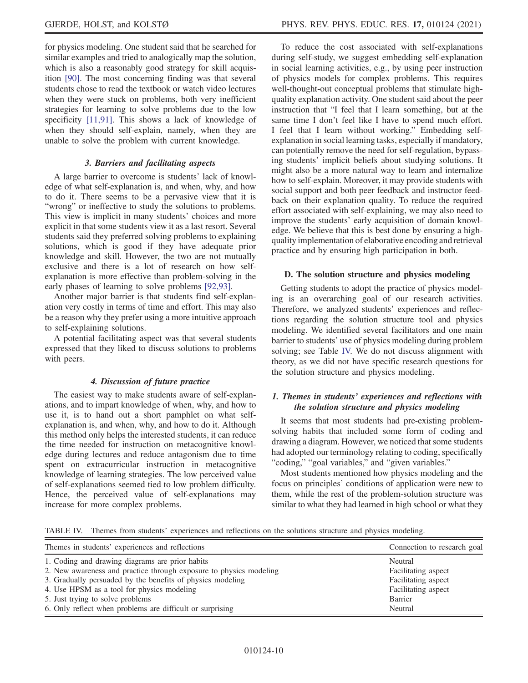for physics modeling. One student said that he searched for similar examples and tried to analogically map the solution, which is also a reasonably good strategy for skill acquisition [\[90\]](#page-15-12). The most concerning finding was that several students chose to read the textbook or watch video lectures when they were stuck on problems, both very inefficient strategies for learning to solve problems due to the low specificity [\[11,91\]](#page-13-6). This shows a lack of knowledge of when they should self-explain, namely, when they are unable to solve the problem with current knowledge.

#### 3. Barriers and facilitating aspects

A large barrier to overcome is students' lack of knowledge of what self-explanation is, and when, why, and how to do it. There seems to be a pervasive view that it is "wrong" or ineffective to study the solutions to problems. This view is implicit in many students' choices and more explicit in that some students view it as a last resort. Several students said they preferred solving problems to explaining solutions, which is good if they have adequate prior knowledge and skill. However, the two are not mutually exclusive and there is a lot of research on how selfexplanation is more effective than problem-solving in the early phases of learning to solve problems [\[92,93\].](#page-15-13)

Another major barrier is that students find self-explanation very costly in terms of time and effort. This may also be a reason why they prefer using a more intuitive approach to self-explaining solutions.

A potential facilitating aspect was that several students expressed that they liked to discuss solutions to problems with peers.

### 4. Discussion of future practice

The easiest way to make students aware of self-explanations, and to impart knowledge of when, why, and how to use it, is to hand out a short pamphlet on what selfexplanation is, and when, why, and how to do it. Although this method only helps the interested students, it can reduce the time needed for instruction on metacognitive knowledge during lectures and reduce antagonism due to time spent on extracurricular instruction in metacognitive knowledge of learning strategies. The low perceived value of self-explanations seemed tied to low problem difficulty. Hence, the perceived value of self-explanations may increase for more complex problems.

To reduce the cost associated with self-explanations during self-study, we suggest embedding self-explanation in social learning activities, e.g., by using peer instruction of physics models for complex problems. This requires well-thought-out conceptual problems that stimulate highquality explanation activity. One student said about the peer instruction that "I feel that I learn something, but at the same time I don't feel like I have to spend much effort. I feel that I learn without working." Embedding selfexplanation in social learning tasks, especially if mandatory, can potentially remove the need for self-regulation, bypassing students' implicit beliefs about studying solutions. It might also be a more natural way to learn and internalize how to self-explain. Moreover, it may provide students with social support and both peer feedback and instructor feedback on their explanation quality. To reduce the required effort associated with self-explaining, we may also need to improve the students' early acquisition of domain knowledge. We believe that this is best done by ensuring a highquality implementation of elaborative encoding and retrieval practice and by ensuring high participation in both.

#### <span id="page-9-1"></span>D. The solution structure and physics modeling

Getting students to adopt the practice of physics modeling is an overarching goal of our research activities. Therefore, we analyzed students' experiences and reflections regarding the solution structure tool and physics modeling. We identified several facilitators and one main barrier to students' use of physics modeling during problem solving; see Table [IV.](#page-9-0) We do not discuss alignment with theory, as we did not have specific research questions for the solution structure and physics modeling.

# 1. Themes in students' experiences and reflections with the solution structure and physics modeling

It seems that most students had pre-existing problemsolving habits that included some form of coding and drawing a diagram. However, we noticed that some students had adopted our terminology relating to coding, specifically "coding," "goal variables," and "given variables."

Most students mentioned how physics modeling and the focus on principles' conditions of application were new to them, while the rest of the problem-solution structure was similar to what they had learned in high school or what they

<span id="page-9-0"></span>TABLE IV. Themes from students' experiences and reflections on the solutions structure and physics modeling.

| Themes in students' experiences and reflections                    | Connection to research goal |
|--------------------------------------------------------------------|-----------------------------|
| 1. Coding and drawing diagrams are prior habits                    | Neutral                     |
| 2. New awareness and practice through exposure to physics modeling | Facilitating aspect         |
| 3. Gradually persuaded by the benefits of physics modeling         | Facilitating aspect         |
| 4. Use HPSM as a tool for physics modeling                         | Facilitating aspect         |
| 5. Just trying to solve problems                                   | Barrier                     |
| 6. Only reflect when problems are difficult or surprising          | Neutral                     |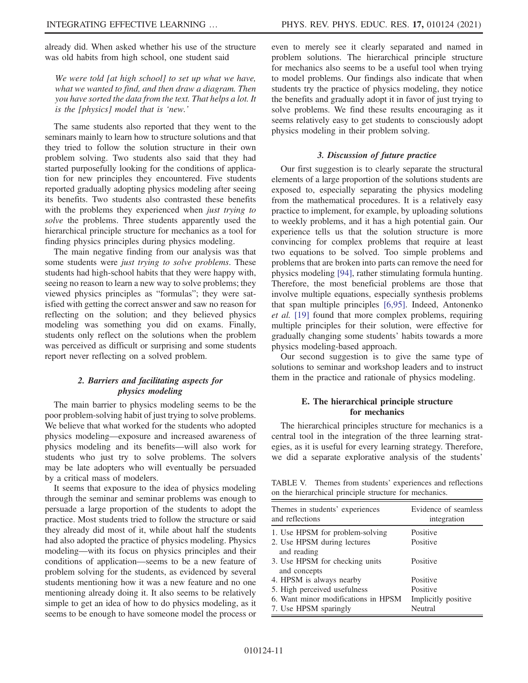already did. When asked whether his use of the structure was old habits from high school, one student said

We were told [at high school] to set up what we have, what we wanted to find, and then draw a diagram. Then you have sorted the data from the text. That helps a lot. It is the [physics] model that is 'new.'

The same students also reported that they went to the seminars mainly to learn how to structure solutions and that they tried to follow the solution structure in their own problem solving. Two students also said that they had started purposefully looking for the conditions of application for new principles they encountered. Five students reported gradually adopting physics modeling after seeing its benefits. Two students also contrasted these benefits with the problems they experienced when *just trying to* solve the problems. Three students apparently used the hierarchical principle structure for mechanics as a tool for finding physics principles during physics modeling.

The main negative finding from our analysis was that some students were just trying to solve problems. These students had high-school habits that they were happy with, seeing no reason to learn a new way to solve problems; they viewed physics principles as "formulas"; they were satisfied with getting the correct answer and saw no reason for reflecting on the solution; and they believed physics modeling was something you did on exams. Finally, students only reflect on the solutions when the problem was perceived as difficult or surprising and some students report never reflecting on a solved problem.

# 2. Barriers and facilitating aspects for physics modeling

The main barrier to physics modeling seems to be the poor problem-solving habit of just trying to solve problems. We believe that what worked for the students who adopted physics modeling—exposure and increased awareness of physics modeling and its benefits—will also work for students who just try to solve problems. The solvers may be late adopters who will eventually be persuaded by a critical mass of modelers.

It seems that exposure to the idea of physics modeling through the seminar and seminar problems was enough to persuade a large proportion of the students to adopt the practice. Most students tried to follow the structure or said they already did most of it, while about half the students had also adopted the practice of physics modeling. Physics modeling—with its focus on physics principles and their conditions of application—seems to be a new feature of problem solving for the students, as evidenced by several students mentioning how it was a new feature and no one mentioning already doing it. It also seems to be relatively simple to get an idea of how to do physics modeling, as it seems to be enough to have someone model the process or even to merely see it clearly separated and named in problem solutions. The hierarchical principle structure for mechanics also seems to be a useful tool when trying to model problems. Our findings also indicate that when students try the practice of physics modeling, they notice the benefits and gradually adopt it in favor of just trying to solve problems. We find these results encouraging as it seems relatively easy to get students to consciously adopt physics modeling in their problem solving.

#### 3. Discussion of future practice

Our first suggestion is to clearly separate the structural elements of a large proportion of the solutions students are exposed to, especially separating the physics modeling from the mathematical procedures. It is a relatively easy practice to implement, for example, by uploading solutions to weekly problems, and it has a high potential gain. Our experience tells us that the solution structure is more convincing for complex problems that require at least two equations to be solved. Too simple problems and problems that are broken into parts can remove the need for physics modeling [\[94\]](#page-15-14), rather stimulating formula hunting. Therefore, the most beneficial problems are those that involve multiple equations, especially synthesis problems that span multiple principles [\[6,95\]](#page-13-22). Indeed, Antonenko et al. [\[19\]](#page-13-23) found that more complex problems, requiring multiple principles for their solution, were effective for gradually changing some students' habits towards a more physics modeling-based approach.

Our second suggestion is to give the same type of solutions to seminar and workshop leaders and to instruct them in the practice and rationale of physics modeling.

### E. The hierarchical principle structure for mechanics

The hierarchical principles structure for mechanics is a central tool in the integration of the three learning strategies, as it is useful for every learning strategy. Therefore, we did a separate explorative analysis of the students'

<span id="page-10-0"></span>TABLE V. Themes from students' experiences and reflections on the hierarchical principle structure for mechanics.

| Themes in students' experiences<br>and reflections           | Evidence of seamless<br>integration |
|--------------------------------------------------------------|-------------------------------------|
| 1. Use HPSM for problem-solving                              | Positive                            |
| 2. Use HPSM during lectures<br>and reading                   | Positive                            |
| 3. Use HPSM for checking units<br>and concepts               | Positive                            |
| 4. HPSM is always nearby                                     | Positive                            |
| 5. High perceived usefulness                                 | Positive                            |
| 6. Want minor modifications in HPSM<br>7. Use HPSM sparingly | Implicitly positive<br>Neutral      |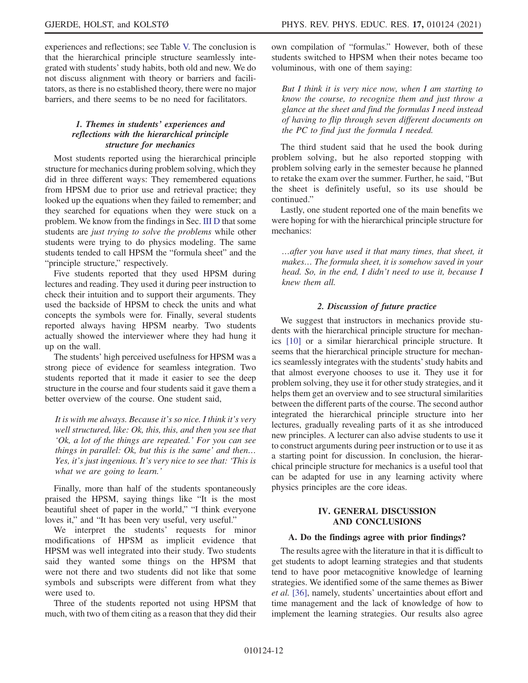experiences and reflections; see Table [V.](#page-10-0) The conclusion is that the hierarchical principle structure seamlessly integrated with students'study habits, both old and new. We do not discuss alignment with theory or barriers and facilitators, as there is no established theory, there were no major barriers, and there seems to be no need for facilitators.

# 1. Themes in students' experiences and reflections with the hierarchical principle structure for mechanics

Most students reported using the hierarchical principle structure for mechanics during problem solving, which they did in three different ways: They remembered equations from HPSM due to prior use and retrieval practice; they looked up the equations when they failed to remember; and they searched for equations when they were stuck on a problem. We know from the findings in Sec. [III D](#page-9-1) that some students are just trying to solve the problems while other students were trying to do physics modeling. The same students tended to call HPSM the "formula sheet" and the "principle structure," respectively.

Five students reported that they used HPSM during lectures and reading. They used it during peer instruction to check their intuition and to support their arguments. They used the backside of HPSM to check the units and what concepts the symbols were for. Finally, several students reported always having HPSM nearby. Two students actually showed the interviewer where they had hung it up on the wall.

The students' high perceived usefulness for HPSM was a strong piece of evidence for seamless integration. Two students reported that it made it easier to see the deep structure in the course and four students said it gave them a better overview of the course. One student said,

It is with me always. Because it's so nice. I think it's very well structured, like: Ok, this, this, and then you see that 'Ok, a lot of the things are repeated.' For you can see things in parallel: Ok, but this is the same' and then… Yes, it's just ingenious. It's very nice to see that: 'This is what we are going to learn.'

Finally, more than half of the students spontaneously praised the HPSM, saying things like "It is the most beautiful sheet of paper in the world," "I think everyone loves it," and "It has been very useful, very useful."

We interpret the students' requests for minor modifications of HPSM as implicit evidence that HPSM was well integrated into their study. Two students said they wanted some things on the HPSM that were not there and two students did not like that some symbols and subscripts were different from what they were used to.

Three of the students reported not using HPSM that much, with two of them citing as a reason that they did their own compilation of "formulas." However, both of these students switched to HPSM when their notes became too voluminous, with one of them saying:

But I think it is very nice now, when I am starting to know the course, to recognize them and just throw a glance at the sheet and find the formulas I need instead of having to flip through seven different documents on the PC to find just the formula I needed.

The third student said that he used the book during problem solving, but he also reported stopping with problem solving early in the semester because he planned to retake the exam over the summer. Further, he said, "But the sheet is definitely useful, so its use should be continued."

Lastly, one student reported one of the main benefits we were hoping for with the hierarchical principle structure for mechanics:

…after you have used it that many times, that sheet, it makes… The formula sheet, it is somehow saved in your head. So, in the end, I didn't need to use it, because I knew them all.

### 2. Discussion of future practice

We suggest that instructors in mechanics provide students with the hierarchical principle structure for mechanics [\[10\]](#page-13-5) or a similar hierarchical principle structure. It seems that the hierarchical principle structure for mechanics seamlessly integrates with the students'study habits and that almost everyone chooses to use it. They use it for problem solving, they use it for other study strategies, and it helps them get an overview and to see structural similarities between the different parts of the course. The second author integrated the hierarchical principle structure into her lectures, gradually revealing parts of it as she introduced new principles. A lecturer can also advise students to use it to construct arguments during peer instruction or to use it as a starting point for discussion. In conclusion, the hierarchical principle structure for mechanics is a useful tool that can be adapted for use in any learning activity where physics principles are the core ideas.

# IV. GENERAL DISCUSSION AND CONCLUSIONS

### A. Do the findings agree with prior findings?

The results agree with the literature in that it is difficult to get students to adopt learning strategies and that students tend to have poor metacognitive knowledge of learning strategies. We identified some of the same themes as Biwer et al. [\[36\]](#page-14-0), namely, students' uncertainties about effort and time management and the lack of knowledge of how to implement the learning strategies. Our results also agree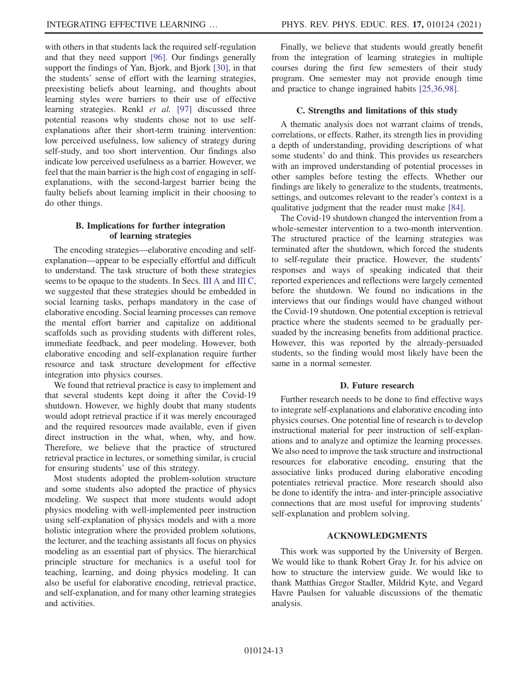with others in that students lack the required self-regulation and that they need support [\[96\].](#page-15-15) Our findings generally support the findings of Yan, Bjork, and Bjork [\[30\],](#page-13-14) in that the students' sense of effort with the learning strategies, preexisting beliefs about learning, and thoughts about learning styles were barriers to their use of effective learning strategies. Renkl et al. [\[97\]](#page-15-16) discussed three potential reasons why students chose not to use selfexplanations after their short-term training intervention: low perceived usefulness, low saliency of strategy during self-study, and too short intervention. Our findings also indicate low perceived usefulness as a barrier. However, we feel that the main barrier is the high cost of engaging in selfexplanations, with the second-largest barrier being the faulty beliefs about learning implicit in their choosing to do other things.

### B. Implications for further integration of learning strategies

The encoding strategies—elaborative encoding and selfexplanation—appear to be especially effortful and difficult to understand. The task structure of both these strategies seems to be opaque to the students. In Secs. [III A](#page-5-1) and [III C](#page-8-1), we suggested that these strategies should be embedded in social learning tasks, perhaps mandatory in the case of elaborative encoding. Social learning processes can remove the mental effort barrier and capitalize on additional scaffolds such as providing students with different roles, immediate feedback, and peer modeling. However, both elaborative encoding and self-explanation require further resource and task structure development for effective integration into physics courses.

We found that retrieval practice is easy to implement and that several students kept doing it after the Covid-19 shutdown. However, we highly doubt that many students would adopt retrieval practice if it was merely encouraged and the required resources made available, even if given direct instruction in the what, when, why, and how. Therefore, we believe that the practice of structured retrieval practice in lectures, or something similar, is crucial for ensuring students' use of this strategy.

Most students adopted the problem-solution structure and some students also adopted the practice of physics modeling. We suspect that more students would adopt physics modeling with well-implemented peer instruction using self-explanation of physics models and with a more holistic integration where the provided problem solutions, the lecturer, and the teaching assistants all focus on physics modeling as an essential part of physics. The hierarchical principle structure for mechanics is a useful tool for teaching, learning, and doing physics modeling. It can also be useful for elaborative encoding, retrieval practice, and self-explanation, and for many other learning strategies and activities.

Finally, we believe that students would greatly benefit from the integration of learning strategies in multiple courses during the first few semesters of their study program. One semester may not provide enough time and practice to change ingrained habits [\[25,36,98\].](#page-13-11)

#### C. Strengths and limitations of this study

A thematic analysis does not warrant claims of trends, correlations, or effects. Rather, its strength lies in providing a depth of understanding, providing descriptions of what some students' do and think. This provides us researchers with an improved understanding of potential processes in other samples before testing the effects. Whether our findings are likely to generalize to the students, treatments, settings, and outcomes relevant to the reader's context is a qualitative judgment that the reader must make [\[84\]](#page-15-7).

The Covid-19 shutdown changed the intervention from a whole-semester intervention to a two-month intervention. The structured practice of the learning strategies was terminated after the shutdown, which forced the students to self-regulate their practice. However, the students' responses and ways of speaking indicated that their reported experiences and reflections were largely cemented before the shutdown. We found no indications in the interviews that our findings would have changed without the Covid-19 shutdown. One potential exception is retrieval practice where the students seemed to be gradually persuaded by the increasing benefits from additional practice. However, this was reported by the already-persuaded students, so the finding would most likely have been the same in a normal semester.

#### D. Future research

Further research needs to be done to find effective ways to integrate self-explanations and elaborative encoding into physics courses. One potential line of research is to develop instructional material for peer instruction of self-explanations and to analyze and optimize the learning processes. We also need to improve the task structure and instructional resources for elaborative encoding, ensuring that the associative links produced during elaborative encoding potentiates retrieval practice. More research should also be done to identify the intra- and inter-principle associative connections that are most useful for improving students' self-explanation and problem solving.

#### ACKNOWLEDGMENTS

This work was supported by the University of Bergen. We would like to thank Robert Gray Jr. for his advice on how to structure the interview guide. We would like to thank Matthias Gregor Stadler, Mildrid Kyte, and Vegard Havre Paulsen for valuable discussions of the thematic analysis.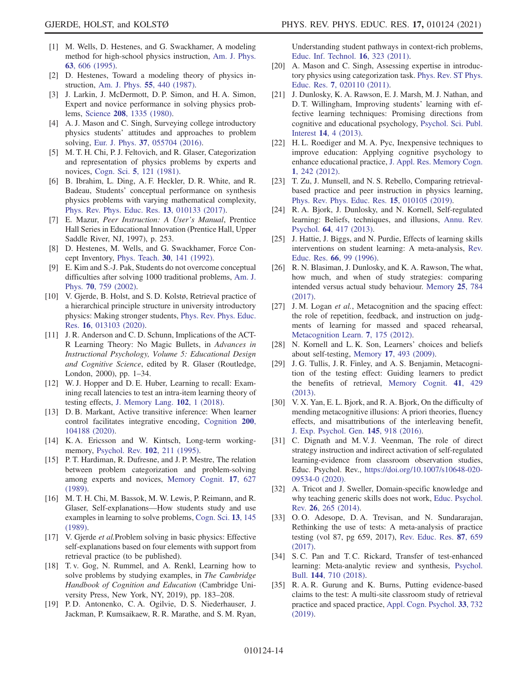- <span id="page-13-0"></span>[1] M. Wells, D. Hestenes, and G. Swackhamer, A modeling method for high-school physics instruction, [Am. J. Phys.](https://doi.org/10.1119/1.17849) 63[, 606 \(1995\).](https://doi.org/10.1119/1.17849)
- [2] D. Hestenes, Toward a modeling theory of physics instruction, [Am. J. Phys.](https://doi.org/10.1119/1.15129) 55, 440 (1987).
- <span id="page-13-1"></span>[3] J. Larkin, J. McDermott, D. P. Simon, and H. A. Simon, Expert and novice performance in solving physics problems, Science 208[, 1335 \(1980\)](https://doi.org/10.1126/science.208.4450.1335).
- [4] A. J. Mason and C. Singh, Surveying college introductory physics students' attitudes and approaches to problem solving, Eur. J. Phys. 37[, 055704 \(2016\).](https://doi.org/10.1088/0143-0807/37/5/055704)
- <span id="page-13-2"></span>[5] M. T. H. Chi, P. J. Feltovich, and R. Glaser, Categorization and representation of physics problems by experts and novices, Cogn. Sci. 5[, 121 \(1981\)](https://doi.org/10.1207/s15516709cog0502_2).
- <span id="page-13-22"></span>[6] B. Ibrahim, L. Ding, A. F. Heckler, D. R. White, and R. Badeau, Students' conceptual performance on synthesis physics problems with varying mathematical complexity, [Phys. Rev. Phys. Educ. Res.](https://doi.org/10.1103/PhysRevPhysEducRes.13.010133) 13, 010133 (2017).
- <span id="page-13-3"></span>[7] E. Mazur, Peer Instruction: A User's Manual, Prentice Hall Series in Educational Innovation (Prentice Hall, Upper Saddle River, NJ, 1997), p. 253.
- [8] D. Hestenes, M. Wells, and G. Swackhamer, Force Concept Inventory, [Phys. Teach.](https://doi.org/10.1119/1.2343497) 30, 141 (1992).
- <span id="page-13-4"></span>[9] E. Kim and S.-J. Pak, Students do not overcome conceptual difficulties after solving 1000 traditional problems, [Am. J.](https://doi.org/10.1119/1.1484151) Phys. 70[, 759 \(2002\).](https://doi.org/10.1119/1.1484151)
- <span id="page-13-5"></span>[10] V. Gjerde, B. Holst, and S. D. Kolstø, Retrieval practice of a hierarchical principle structure in university introductory physics: Making stronger students, [Phys. Rev. Phys. Educ.](https://doi.org/10.1103/PhysRevPhysEducRes.16.013103) Res. 16[, 013103 \(2020\).](https://doi.org/10.1103/PhysRevPhysEducRes.16.013103)
- <span id="page-13-6"></span>[11] J. R. Anderson and C. D. Schunn, Implications of the ACT-R Learning Theory: No Magic Bullets, in Advances in Instructional Psychology, Volume 5: Educational Design and Cognitive Science, edited by R. Glaser (Routledge, London, 2000), pp. 1–34.
- <span id="page-13-18"></span>[12] W. J. Hopper and D. E. Huber, Learning to recall: Examining recall latencies to test an intra-item learning theory of testing effects, [J. Memory Lang.](https://doi.org/10.1016/j.jml.2018.04.005) 102, 1 (2018).
- [13] D. B. Markant, Active transitive inference: When learner control facilitates integrative encoding, [Cognition](https://doi.org/10.1016/j.cognition.2020.104188) 200, [104188 \(2020\).](https://doi.org/10.1016/j.cognition.2020.104188)
- <span id="page-13-21"></span>[14] K. A. Ericsson and W. Kintsch, Long-term workingmemory, [Psychol. Rev.](https://doi.org/10.1037/0033-295X.102.2.211) 102, 211 (1995).
- [15] P. T. Hardiman, R. Dufresne, and J. P. Mestre, The relation between problem categorization and problem-solving among experts and novices, [Memory Cognit.](https://doi.org/10.3758/BF03197085) 17, 627 [\(1989\).](https://doi.org/10.3758/BF03197085)
- <span id="page-13-7"></span>[16] M. T. H. Chi, M. Bassok, M. W. Lewis, P. Reimann, and R. Glaser, Self-explanations—How students study and use examples in learning to solve problems, [Cogn. Sci.](https://doi.org/10.1207/s15516709cog1302_1) 13, 145 [\(1989\).](https://doi.org/10.1207/s15516709cog1302_1)
- <span id="page-13-20"></span>[17] V. Gjerde et al. Problem solving in basic physics: Effective self-explanations based on four elements with support from retrieval practice (to be published).
- [18] T. v. Gog, N. Rummel, and A. Renkl, Learning how to solve problems by studying examples, in The Cambridge Handbook of Cognition and Education (Cambridge University Press, New York, NY, 2019), pp. 183–208.
- <span id="page-13-23"></span>[19] P. D. Antonenko, C. A. Ogilvie, D. S. Niederhauser, J. Jackman, P. Kumsaikaew, R. R. Marathe, and S. M. Ryan,

Understanding student pathways in context-rich problems, [Educ. Inf. Technol.](https://doi.org/10.1007/s10639-010-9132-x) 16, 323 (2011).

- [20] A. Mason and C. Singh, Assessing expertise in introductory physics using categorization task. [Phys. Rev. ST Phys.](https://doi.org/10.1103/PhysRevSTPER.7.020110) Educ. Res. 7[, 020110 \(2011\)](https://doi.org/10.1103/PhysRevSTPER.7.020110).
- <span id="page-13-8"></span>[21] J. Dunlosky, K. A. Rawson, E. J. Marsh, M. J. Nathan, and D. T. Willingham, Improving students' learning with effective learning techniques: Promising directions from cognitive and educational psychology, [Psychol. Sci. Publ.](https://doi.org/10.1177/1529100612453266) Interest 14[, 4 \(2013\).](https://doi.org/10.1177/1529100612453266)
- [22] H. L. Roediger and M. A. Pyc, Inexpensive techniques to improve education: Applying cognitive psychology to enhance educational practice, [J. Appl. Res. Memory Cogn.](https://doi.org/10.1016/j.jarmac.2012.09.002) 1[, 242 \(2012\).](https://doi.org/10.1016/j.jarmac.2012.09.002)
- <span id="page-13-9"></span>[23] T. Zu, J. Munsell, and N. S. Rebello, Comparing retrievalbased practice and peer instruction in physics learning, [Phys. Rev. Phys. Educ. Res.](https://doi.org/10.1103/PhysRevPhysEducRes.15.010105) 15, 010105 (2019).
- <span id="page-13-10"></span>[24] R. A. Bjork, J. Dunlosky, and N. Kornell, Self-regulated learning: Beliefs, techniques, and illusions, [Annu. Rev.](https://doi.org/10.1146/annurev-psych-113011-143823) Psychol. 64[, 417 \(2013\)](https://doi.org/10.1146/annurev-psych-113011-143823).
- <span id="page-13-11"></span>[25] J. Hattie, J. Biggs, and N. Purdie, Effects of learning skills interventions on student learning: A meta-analysis, [Rev.](https://doi.org/10.3102/00346543066002099) Educ. Res. 66[, 99 \(1996\).](https://doi.org/10.3102/00346543066002099)
- <span id="page-13-12"></span>[26] R. N. Blasiman, J. Dunlosky, and K. A. Rawson, The what, how much, and when of study strategies: comparing intended versus actual study behaviour. [Memory](https://doi.org/10.1080/09658211.2016.1221974) 25, 784 [\(2017\).](https://doi.org/10.1080/09658211.2016.1221974)
- <span id="page-13-13"></span>[27] J. M. Logan et al., Metacognition and the spacing effect: the role of repetition, feedback, and instruction on judgments of learning for massed and spaced rehearsal, [Metacognition Learn.](https://doi.org/10.1007/s11409-012-9090-3) 7, 175 (2012).
- [28] N. Kornell and L. K. Son, Learners' choices and beliefs about self-testing, Memory 17[, 493 \(2009\)](https://doi.org/10.1080/09658210902832915).
- [29] J. G. Tullis, J. R. Finley, and A. S. Benjamin, Metacognition of the testing effect: Guiding learners to predict the benefits of retrieval, [Memory Cognit.](https://doi.org/10.3758/s13421-012-0274-5) 41, 429 [\(2013\).](https://doi.org/10.3758/s13421-012-0274-5)
- <span id="page-13-14"></span>[30] V. X. Yan, E. L. Bjork, and R. A. Bjork, On the difficulty of mending metacognitive illusions: A priori theories, fluency effects, and misattributions of the interleaving benefit, [J. Exp. Psychol. Gen.](https://doi.org/10.1037/xge0000177) 145, 918 (2016).
- <span id="page-13-17"></span>[31] C. Dignath and M. V. J. Veenman, The role of direct strategy instruction and indirect activation of self-regulated learning-evidence from classroom observation studies, Educ. Psychol. Rev., [https://doi.org/10.1007/s10648-020-](https://doi.org/10.1007/s10648-020-09534-0) [09534-0 \(2020\).](https://doi.org/10.1007/s10648-020-09534-0)
- [32] A. Tricot and J. Sweller, Domain-specific knowledge and why teaching generic skills does not work, [Educ. Psychol.](https://doi.org/10.1007/s10648-013-9243-1) Rev. 26[, 265 \(2014\).](https://doi.org/10.1007/s10648-013-9243-1)
- <span id="page-13-15"></span>[33] O.O. Adesope, D.A. Trevisan, and N. Sundararajan, Rethinking the use of tests: A meta-analysis of practice testing (vol 87, pg 659, 2017), [Rev. Educ. Res.](https://doi.org/10.3102/0034654316689306) 87, 659 [\(2017\).](https://doi.org/10.3102/0034654316689306)
- <span id="page-13-19"></span>[34] S.C. Pan and T.C. Rickard, Transfer of test-enhanced learning: Meta-analytic review and synthesis, [Psychol.](https://doi.org/10.1037/bul0000151) Bull. 144[, 710 \(2018\)](https://doi.org/10.1037/bul0000151).
- <span id="page-13-16"></span>[35] R. A. R. Gurung and K. Burns, Putting evidence-based claims to the test: A multi-site classroom study of retrieval practice and spaced practice, [Appl. Cogn. Psychol.](https://doi.org/10.1002/acp.3507) 33, 732 [\(2019\).](https://doi.org/10.1002/acp.3507)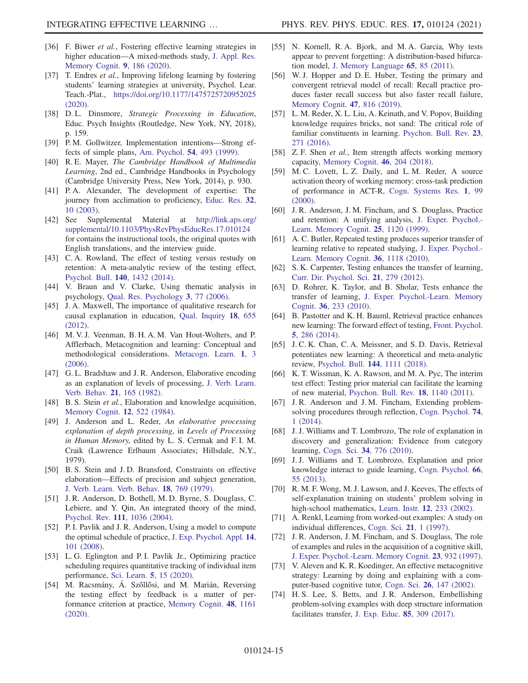- <span id="page-14-0"></span>[36] F. Biwer et al., Fostering effective learning strategies in higher education—A mixed-methods study, [J. Appl. Res.](https://doi.org/10.1016/j.jarmac.2020.03.004) [Memory Cognit.](https://doi.org/10.1016/j.jarmac.2020.03.004) 9, 186 (2020).
- <span id="page-14-1"></span>[37] T. Endres et al., Improving lifelong learning by fostering students' learning strategies at university, Psychol. Lear. Teach.-Plat., <https://doi.org/10.1177/1475725720952025> [\(2020\).](https://doi.org/10.1177/1475725720952025)
- <span id="page-14-2"></span>[38] D.L. Dinsmore, Strategic Processing in Education, Educ. Psych Insights (Routledge, New York, NY, 2018), p. 159.
- <span id="page-14-3"></span>[39] P. M. Gollwitzer, Implementation intentions—Strong effects of simple plans, [Am. Psychol.](https://doi.org/10.1037/0003-066X.54.7.493) 54, 493 (1999).
- <span id="page-14-4"></span>[40] R.E. Mayer, The Cambridge Handbook of Multimedia Learning, 2nd ed., Cambridge Handbooks in Psychology (Cambridge University Press, New York, 2014), p. 930.
- <span id="page-14-5"></span>[41] P. A. Alexander, The development of expertise: The journey from acclimation to proficiency, [Educ. Res.](https://doi.org/10.3102/0013189X032008010) 32, [10 \(2003\).](https://doi.org/10.3102/0013189X032008010)
- <span id="page-14-6"></span>[42] See Supplemental Material at [http://link.aps.org/](http://link.aps.org/supplemental/10.1103/PhysRevPhysEducRes.17.010124) [supplemental/10.1103/PhysRevPhysEducRes.17.010124](http://link.aps.org/supplemental/10.1103/PhysRevPhysEducRes.17.010124) for contains the instructional tools, the original quotes with English translations, and the interview guide.
- [43] C. A. Rowland, The effect of testing versus restudy on retention: A meta-analytic review of the testing effect, [Psychol. Bull.](https://doi.org/10.1037/a0037559) 140, 1432 (2014).
- <span id="page-14-7"></span>[44] V. Braun and V. Clarke, Using thematic analysis in psychology, [Qual. Res. Psychology](https://doi.org/10.1191/1478088706qp063oa) 3, 77 (2006).
- <span id="page-14-8"></span>[45] J. A. Maxwell, The importance of qualitative research for causal explanation in education, [Qual. Inquiry](https://doi.org/10.1177/1077800412452856) 18, 655 [\(2012\).](https://doi.org/10.1177/1077800412452856)
- [46] M. V. J. Veenman, B. H. A. M. Van Hout-Wolters, and P. Afflerbach, Metacognition and learning: Conceptual and methodological considerations. [Metacogn. Learn.](https://doi.org/10.1007/s11409-006-6893-0) 1, 3  $(2006)$ .
- <span id="page-14-9"></span>[47] G. L. Bradshaw and J. R. Anderson, Elaborative encoding as an explanation of levels of processing, [J. Verb. Learn.](https://doi.org/10.1016/S0022-5371(82)90531-X) [Verb. Behav.](https://doi.org/10.1016/S0022-5371(82)90531-X) 21, 165 (1982).
- <span id="page-14-11"></span>[48] B. S. Stein et al., Elaboration and knowledge acquisition, [Memory Cognit.](https://doi.org/10.3758/BF03198315) 12, 522 (1984).
- [49] J. Anderson and L. Reder, An elaborative processing explanation of depth processing, in Levels of Processing in Human Memory, edited by L. S. Cermak and F. I. M. Craik (Lawrence Erlbaum Associates; Hillsdale, N.Y., 1979).
- <span id="page-14-10"></span>[50] B. S. Stein and J. D. Bransford, Constraints on effective elaboration—Effects of precision and subject generation, [J. Verb. Learn. Verb. Behav.](https://doi.org/10.1016/S0022-5371(79)90481-X) 18, 769 (1979).
- <span id="page-14-12"></span>[51] J. R. Anderson, D. Bothell, M. D. Byrne, S. Douglass, C. Lebiere, and Y. Qin, An integrated theory of the mind, Psychol. Rev. 111[, 1036 \(2004\).](https://doi.org/10.1037/0033-295X.111.4.1036)
- <span id="page-14-13"></span>[52] P. I. Pavlik and J. R. Anderson, Using a model to compute the optimal schedule of practice, [J. Exp. Psychol. Appl.](https://doi.org/10.1037/1076-898X.14.2.101) 14, [101 \(2008\)](https://doi.org/10.1037/1076-898X.14.2.101).
- [53] L. G. Eglington and P. I. Pavlik Jr., Optimizing practice scheduling requires quantitative tracking of individual item performance, Sci. Learn. 5[, 15 \(2020\).](https://doi.org/10.1038/s41539-020-00074-4)
- [54] M. Racsmány, Á. Szőllősi, and M. Marián, Reversing the testing effect by feedback is a matter of performance criterion at practice, [Memory Cognit.](https://doi.org/10.3758/s13421-020-01041-5) 48, 1161 [\(2020\).](https://doi.org/10.3758/s13421-020-01041-5)
- <span id="page-14-14"></span>[55] N. Kornell, R. A. Bjork, and M. A. Garcia, Why tests appear to prevent forgetting: A distribution-based bifurcation model, [J. Memory Language](https://doi.org/10.1016/j.jml.2011.04.002) 65, 85 (2011).
- [56] W. J. Hopper and D. E. Huber, Testing the primary and convergent retrieval model of recall: Recall practice produces faster recall success but also faster recall failure, [Memory Cognit.](https://doi.org/10.3758/s13421-019-00903-x) 47, 816 (2019).
- <span id="page-14-15"></span>[57] L. M. Reder, X. L. Liu, A. Keinath, and V. Popov, Building knowledge requires bricks, not sand: The critical role of familiar constituents in learning. [Psychon. Bull. Rev.](https://doi.org/10.3758/s13423-015-0889-1) 23, [271 \(2016\)](https://doi.org/10.3758/s13423-015-0889-1).
- [58] Z. F. Shen *et al.*, Item strength affects working memory capacity, [Memory Cognit.](https://doi.org/10.3758/s13421-017-0758-4) 46, 204 (2018).
- [59] M. C. Lovett, L. Z. Daily, and L. M. Reder, A source activation theory of working memory: cross-task prediction of performance in ACT-R, [Cogn. Systems Res.](https://doi.org/10.1016/S1389-0417(99)00012-1) 1, 99 [\(2000\).](https://doi.org/10.1016/S1389-0417(99)00012-1)
- <span id="page-14-16"></span>[60] J. R. Anderson, J. M. Fincham, and S. Douglass, Practice and retention: A unifying analysis, [J. Exper. Psychol.-](https://doi.org/10.1037/0278-7393.25.5.1120) [Learn. Memory Cognit.](https://doi.org/10.1037/0278-7393.25.5.1120) 25, 1120 (1999).
- [61] A. C. Butler, Repeated testing produces superior transfer of learning relative to repeated studying, [J. Exper. Psychol.-](https://doi.org/10.1037/a0019902) [Learn. Memory Cognit.](https://doi.org/10.1037/a0019902) 36, 1118 (2010).
- [62] S. K. Carpenter, Testing enhances the transfer of learning, [Curr. Dir. Psychol. Sci.](https://doi.org/10.1177/0963721412452728) 21, 279 (2012).
- [63] D. Rohrer, K. Taylor, and B. Sholar, Tests enhance the transfer of learning, [J. Exper. Psychol.-Learn. Memory](https://doi.org/10.1037/a0017678) Cognit. 36[, 233 \(2010\)](https://doi.org/10.1037/a0017678).
- <span id="page-14-17"></span>[64] B. Pastotter and K. H. Bauml, Retrieval practice enhances new learning: The forward effect of testing, [Front. Psychol.](https://doi.org/10.3389/fpsyg.2014.00286) 5[, 286 \(2014\).](https://doi.org/10.3389/fpsyg.2014.00286)
- [65] J. C. K. Chan, C. A. Meissner, and S. D. Davis, Retrieval potentiates new learning: A theoretical and meta-analytic review, [Psychol. Bull.](https://doi.org/10.1037/bul0000166) 144, 1111 (2018).
- [66] K. T. Wissman, K. A. Rawson, and M. A. Pyc, The interim test effect: Testing prior material can facilitate the learning of new material, [Psychon. Bull. Rev.](https://doi.org/10.3758/s13423-011-0140-7) 18, 1140 (2011).
- <span id="page-14-18"></span>[67] J. R. Anderson and J. M. Fincham, Extending problemsolving procedures through reflection, [Cogn. Psychol.](https://doi.org/10.1016/j.cogpsych.2014.06.002) 74, [1 \(2014\).](https://doi.org/10.1016/j.cogpsych.2014.06.002)
- <span id="page-14-19"></span>[68] J. J. Williams and T. Lombrozo, The role of explanation in discovery and generalization: Evidence from category learning, Cogn. Sci. 34[, 776 \(2010\)](https://doi.org/10.1111/j.1551-6709.2010.01113.x).
- [69] J. J. Williams and T. Lombrozo, Explanation and prior knowledge interact to guide learning, [Cogn. Psychol.](https://doi.org/10.1016/j.cogpsych.2012.09.002) 66, [55 \(2013\).](https://doi.org/10.1016/j.cogpsych.2012.09.002)
- [70] R. M. F. Wong, M. J. Lawson, and J. Keeves, The effects of self-explanation training on students' problem solving in high-school mathematics, Learn. Instr. 12[, 233 \(2002\).](https://doi.org/10.1016/S0959-4752(01)00027-5)
- <span id="page-14-21"></span>[71] A. Renkl, Learning from worked-out examples: A study on individual differences, [Cogn. Sci.](https://doi.org/10.1207/s15516709cog2101_1) 21, 1 (1997).
- [72] J. R. Anderson, J. M. Fincham, and S. Douglass, The role of examples and rules in the acquisition of a cognitive skill, [J. Exper. Psychol.-Learn. Memory Cognit.](https://doi.org/10.1037/0278-7393.23.4.932) 23, 932 (1997).
- [73] V. Aleven and K. R. Koedinger, An effective metacognitive strategy: Learning by doing and explaining with a computer-based cognitive tutor, Cogn. Sci. 26[, 147 \(2002\)](https://doi.org/10.1207/s15516709cog2602_1).
- <span id="page-14-20"></span>[74] H. S. Lee, S. Betts, and J. R. Anderson, Embellishing problem-solving examples with deep structure information facilitates transfer, [J. Exp. Educ.](https://doi.org/10.1080/00220973.2016.1180277) 85, 309 (2017).